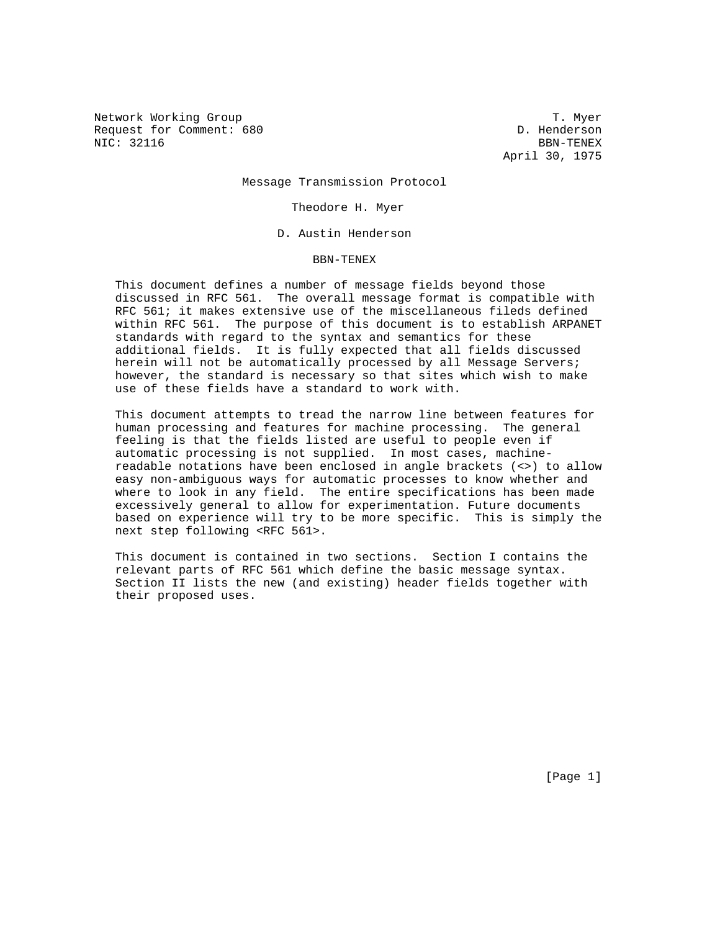Network Working Group T. Myer Request for Comment: 680 D. Henderson NIC: 32116 BBN-TENEX

April 30, 1975

Message Transmission Protocol

Theodore H. Myer

D. Austin Henderson

BBN-TENEX

 This document defines a number of message fields beyond those discussed in RFC 561. The overall message format is compatible with RFC 561; it makes extensive use of the miscellaneous fileds defined within RFC 561. The purpose of this document is to establish ARPANET standards with regard to the syntax and semantics for these additional fields. It is fully expected that all fields discussed herein will not be automatically processed by all Message Servers; however, the standard is necessary so that sites which wish to make use of these fields have a standard to work with.

 This document attempts to tread the narrow line between features for human processing and features for machine processing. The general feeling is that the fields listed are useful to people even if automatic processing is not supplied. In most cases, machine readable notations have been enclosed in angle brackets (<>) to allow easy non-ambiguous ways for automatic processes to know whether and where to look in any field. The entire specifications has been made excessively general to allow for experimentation. Future documents based on experience will try to be more specific. This is simply the next step following <RFC 561>.

 This document is contained in two sections. Section I contains the relevant parts of RFC 561 which define the basic message syntax. Section II lists the new (and existing) header fields together with their proposed uses.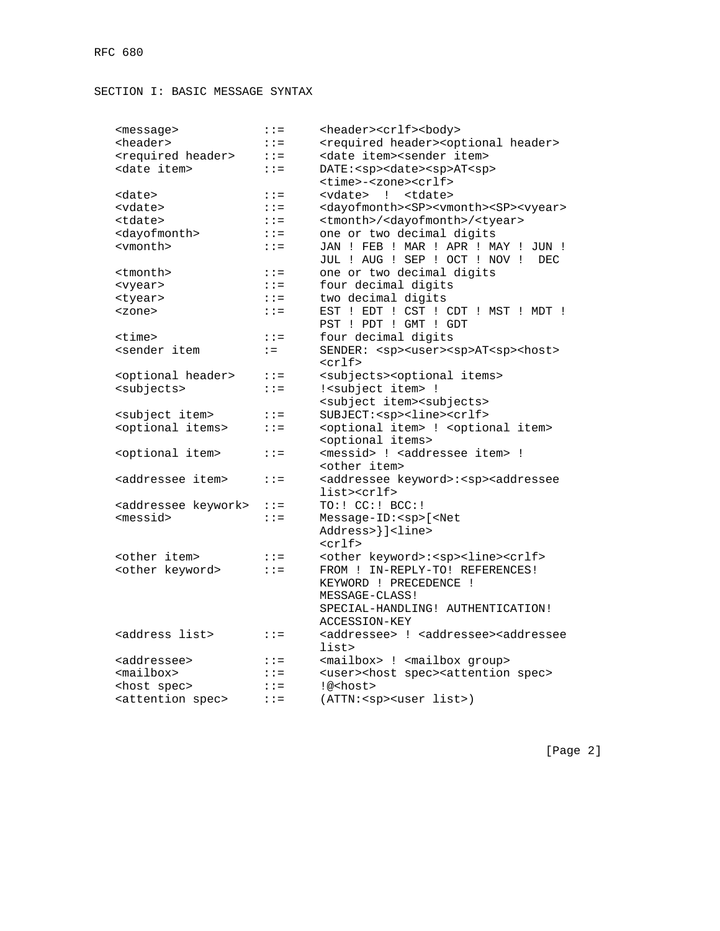# SECTION I: BASIC MESSAGE SYNTAX

| <message></message>                                                                                                              | $: :=$  | <header><crlf><body></body></crlf></header>                                      |
|----------------------------------------------------------------------------------------------------------------------------------|---------|----------------------------------------------------------------------------------|
| <header></header>                                                                                                                | $: :=$  | <required header=""><optional header=""></optional></required>                   |
| <required header=""></required>                                                                                                  | $: :=$  | <date item=""><sender item=""></sender></date>                                   |
| <date item=""></date>                                                                                                            | $: :=$  | DATE: <sp><date><sp>AT<sp></sp></sp></date></sp>                                 |
|                                                                                                                                  |         | <time>-<zone><crlf></crlf></zone></time>                                         |
| <date></date>                                                                                                                    | $: :=$  | <vdate> ! <tdate></tdate></vdate>                                                |
| <vdate></vdate>                                                                                                                  | $: : =$ | <dayofmonth><sp><vmonth><sp><vyear></vyear></sp></vmonth></sp></dayofmonth>      |
| <tdate></tdate>                                                                                                                  | $: :=$  | <tmonth>/<dayofmonth>/<tyear></tyear></dayofmonth></tmonth>                      |
| <dayofmonth></dayofmonth>                                                                                                        | $: :=$  | one or two decimal digits                                                        |
| <vmonth></vmonth>                                                                                                                | $: : =$ | JAN ! FEB ! MAR ! APR ! MAY ! JUN !                                              |
|                                                                                                                                  |         | JUL ! AUG ! SEP ! OCT ! NOV !<br>DEC.                                            |
| <tmonth></tmonth>                                                                                                                | $: : =$ | one or two decimal digits                                                        |
| <vyear></vyear>                                                                                                                  | $: :=$  | four decimal digits                                                              |
| <tyear></tyear>                                                                                                                  | $: : =$ | two decimal digits                                                               |
| <zone></zone>                                                                                                                    | $: :=$  | EST ! EDT ! CST ! CDT ! MST ! MDT !                                              |
|                                                                                                                                  |         | PST ! PDT ! GMT ! GDT                                                            |
| <time></time>                                                                                                                    | $: :=$  | four decimal digits                                                              |
| <sender item<="" td=""><td><math>:=</math></td><td>SENDER: <sp><user><sp>AT<sp><host></host></sp></sp></user></sp></td></sender> | $:=$    | SENDER: <sp><user><sp>AT<sp><host></host></sp></sp></user></sp>                  |
|                                                                                                                                  |         | $<$ crlf>                                                                        |
| <optional header=""></optional>                                                                                                  | $: :=$  | <subjects><optional items=""></optional></subjects>                              |
| <subjects></subjects>                                                                                                            | $: :=$  | ! <subject item=""> !</subject>                                                  |
|                                                                                                                                  |         | <subject item=""><subjects></subjects></subject>                                 |
| <subject item=""></subject>                                                                                                      | $: :=$  | SUBJECT: <sp><line><crlf></crlf></line></sp>                                     |
| <optional items=""></optional>                                                                                                   | $: :=$  | <optional item=""> ! <optional item=""></optional></optional>                    |
|                                                                                                                                  |         | <optional items=""></optional>                                                   |
| <optional item=""></optional>                                                                                                    | $: :=$  | <messid> ! <addressee item=""> !</addressee></messid>                            |
|                                                                                                                                  |         | <other item=""></other>                                                          |
| <addressee item=""></addressee>                                                                                                  | $: :=$  | <addressee keyword="">:<sp><addressee< td=""></addressee<></sp></addressee>      |
|                                                                                                                                  |         | list> <crlf></crlf>                                                              |
| <addressee keywork=""></addressee>                                                                                               | $: :=$  | TO: ! CC: ! BCC: !                                                               |
| <messid></messid>                                                                                                                | $: :=$  | Message-ID: <sp>[<net< td=""></net<></sp>                                        |
|                                                                                                                                  |         | Address>}] <line></line>                                                         |
|                                                                                                                                  |         | $<$ crlf>                                                                        |
| <other item=""></other>                                                                                                          | $: :=$  | <other keyword="">:<sp><line><crlf></crlf></line></sp></other>                   |
| <other keyword=""></other>                                                                                                       | $: :=$  | FROM ! IN-REPLY-TO! REFERENCES!                                                  |
|                                                                                                                                  |         | KEYWORD ! PRECEDENCE !                                                           |
|                                                                                                                                  |         | MESSAGE-CLASS!                                                                   |
|                                                                                                                                  |         | SPECIAL-HANDLING! AUTHENTICATION!                                                |
|                                                                                                                                  |         | ACCESSION-KEY                                                                    |
| <address list=""></address>                                                                                                      | $: z =$ | <addressee> ! <addressee><addressee< td=""></addressee<></addressee></addressee> |
|                                                                                                                                  |         | list>                                                                            |
| <addressee></addressee>                                                                                                          | $: : =$ | <mailbox> : <mailbox group=""></mailbox></mailbox>                               |
| <mailbox></mailbox>                                                                                                              | $: :=$  | <user><host spec=""><attention spec=""></attention></host></user>                |
| <host spec=""></host>                                                                                                            | $: :=$  | !@ <host></host>                                                                 |
| <attention spec=""></attention>                                                                                                  | $: :=$  | (ATTN: <sp><user list="">)</user></sp>                                           |

[Page 2]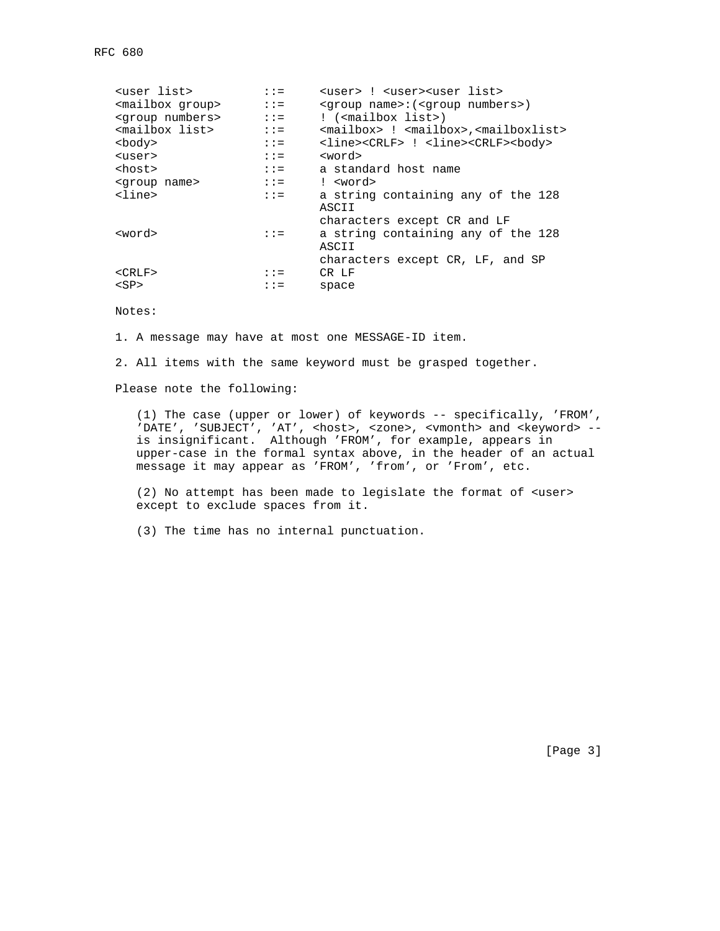| suser list>                  | $: :=$                             | <user> ! <user><user list=""></user></user></user>                       |
|------------------------------|------------------------------------|--------------------------------------------------------------------------|
| <mailbox group=""></mailbox> | $\therefore$ $\therefore$ $\equiv$ | <group name="">: (<group numbers="">)</group></group>                    |
| <group numbers=""></group>   |                                    | ! ( <mailbox list="">)</mailbox>                                         |
| <mailbox list=""></mailbox>  | $: :=$                             | <mailbox> : <mailbox>,<mailboxlist></mailboxlist></mailbox></mailbox>    |
| <body></body>                | $\mathbf{1} \mathbf{1} =$          | <line><crlf> : <line><crlf><br/>&gt;body&gt;</crlf></line></crlf></line> |
| <user></user>                | $\mathbf{1} \mathbf{1} =$          | <word></word>                                                            |
| <host></host>                | $: :=$                             | a standard host name                                                     |
| <group name=""></group>      | $\mathbf{1} \mathbf{1} =$          | ! <word></word>                                                          |
| $\langle$ line $\rangle$     | $\mathbf{1} \mathbf{1} =$          | a string containing any of the 128<br>ASCII                              |
|                              |                                    | characters except CR and LF                                              |
| <word></word>                | $: : =$                            | a string containing any of the 128<br>ASCII                              |
|                              |                                    | characters except CR, LF, and SP                                         |
| $<$ CRLF>                    | $\mathbf{1} \mathbf{1} =$          | CR LF                                                                    |
| $<$ SP $>$                   | $: :=$                             | space                                                                    |
|                              |                                    |                                                                          |

# Notes:

1. A message may have at most one MESSAGE-ID item.

2. All items with the same keyword must be grasped together.

Please note the following:

 (1) The case (upper or lower) of keywords -- specifically, 'FROM', 'DATE', 'SUBJECT', 'AT', <host>, <zone>, <vmonth> and <keyword> - is insignificant. Although 'FROM', for example, appears in upper-case in the formal syntax above, in the header of an actual message it may appear as 'FROM', 'from', or 'From', etc.

 (2) No attempt has been made to legislate the format of <user> except to exclude spaces from it.

(3) The time has no internal punctuation.

[Page 3]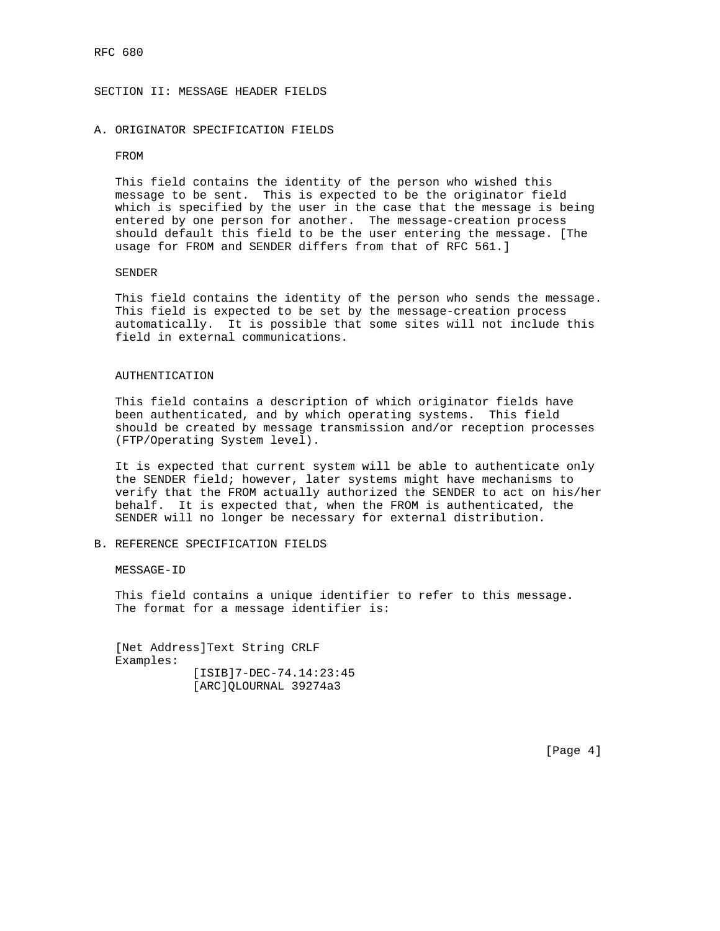SECTION II: MESSAGE HEADER FIELDS

## A. ORIGINATOR SPECIFICATION FIELDS

## FROM

 This field contains the identity of the person who wished this message to be sent. This is expected to be the originator field which is specified by the user in the case that the message is being entered by one person for another. The message-creation process should default this field to be the user entering the message. [The usage for FROM and SENDER differs from that of RFC 561.]

## SENDER

 This field contains the identity of the person who sends the message. This field is expected to be set by the message-creation process automatically. It is possible that some sites will not include this field in external communications.

## AUTHENTICATION

 This field contains a description of which originator fields have been authenticated, and by which operating systems. This field should be created by message transmission and/or reception processes (FTP/Operating System level).

 It is expected that current system will be able to authenticate only the SENDER field; however, later systems might have mechanisms to verify that the FROM actually authorized the SENDER to act on his/her behalf. It is expected that, when the FROM is authenticated, the SENDER will no longer be necessary for external distribution.

## B. REFERENCE SPECIFICATION FIELDS

MESSAGE-ID

 This field contains a unique identifier to refer to this message. The format for a message identifier is:

 [Net Address]Text String CRLF Examples: [ISIB]7-DEC-74.14:23:45 [ARC]QLOURNAL 39274a3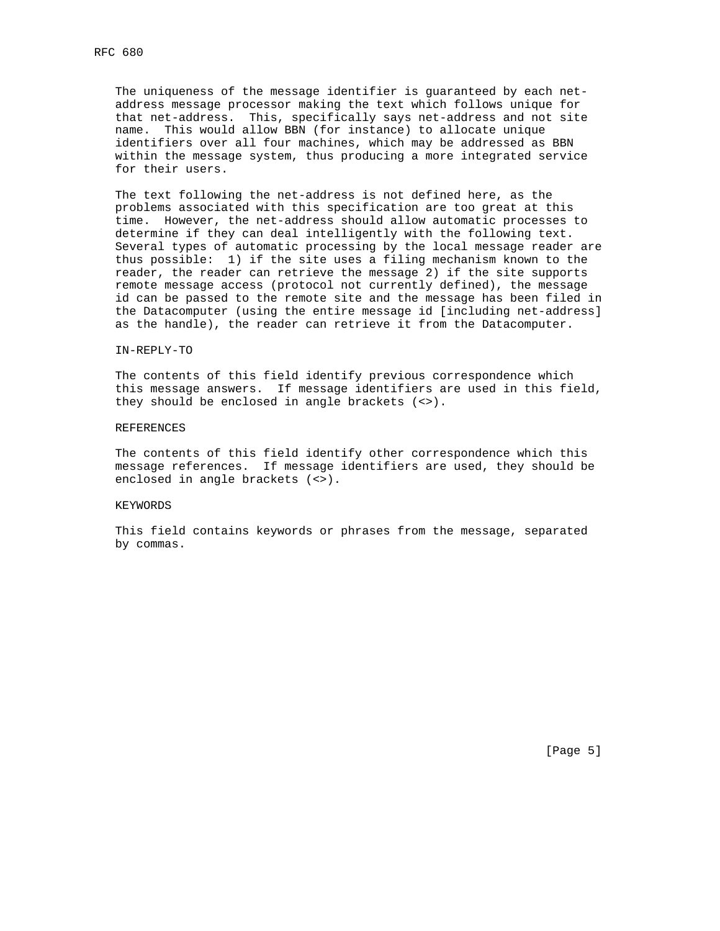The uniqueness of the message identifier is guaranteed by each net address message processor making the text which follows unique for that net-address. This, specifically says net-address and not site name. This would allow BBN (for instance) to allocate unique identifiers over all four machines, which may be addressed as BBN within the message system, thus producing a more integrated service for their users.

 The text following the net-address is not defined here, as the problems associated with this specification are too great at this time. However, the net-address should allow automatic processes to determine if they can deal intelligently with the following text. Several types of automatic processing by the local message reader are thus possible: 1) if the site uses a filing mechanism known to the reader, the reader can retrieve the message 2) if the site supports remote message access (protocol not currently defined), the message id can be passed to the remote site and the message has been filed in the Datacomputer (using the entire message id [including net-address] as the handle), the reader can retrieve it from the Datacomputer.

#### IN-REPLY-TO

 The contents of this field identify previous correspondence which this message answers. If message identifiers are used in this field, they should be enclosed in angle brackets (<>).

#### REFERENCES

 The contents of this field identify other correspondence which this message references. If message identifiers are used, they should be enclosed in angle brackets (<>).

## KEYWORDS

 This field contains keywords or phrases from the message, separated by commas.